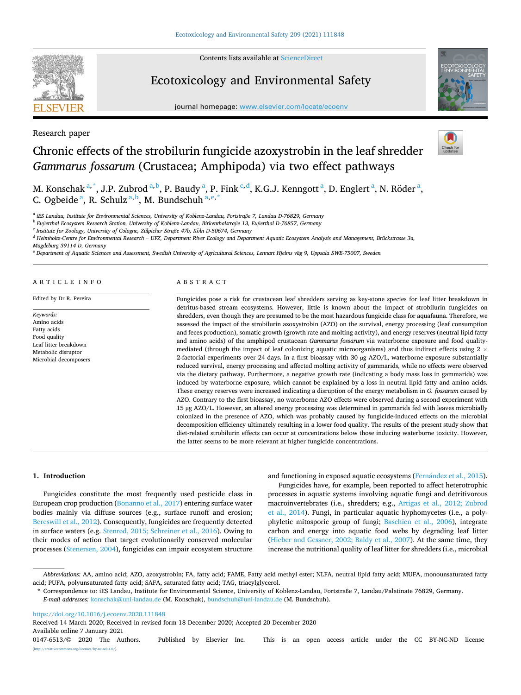Contents lists available at [ScienceDirect](www.sciencedirect.com/science/journal/01476513)

# **SEVIER**

Research paper

# Ecotoxicology and Environmental Safety

journal homepage: [www.elsevier.com/locate/ecoenv](https://www.elsevier.com/locate/ecoenv) 



# Chronic effects of the strobilurin fungicide azoxystrobin in the leaf shredder *Gammarus fossarum* (Crustacea; Amphipoda) via two effect pathways

M. Konschak <sup>a, \*</sup>, J.P. Zubrod <sup>a, b</sup>, P. Baudy <sup>a</sup>, P. Fink <sup>c, d</sup>, K.G.J. Kenngott <sup>a</sup>, D. Englert <sup>a</sup>, N. Röder <sup>a</sup>, C. Ogbeide<sup>a</sup>, R. Schulz<sup>a,b</sup>, M. Bundschuh<sup>a,e,\*</sup>

<sup>a</sup> *iES Landau, Institute for Environmental Sciences, University of Koblenz-Landau, Fortstraße 7, Landau D-76829, Germany* 

<sup>b</sup> *Eußerthal Ecosystem Research Station, University of Koblenz-Landau, Birkenthalstraße 13, Eußerthal D-76857, Germany* 

<sup>c</sup> Institute for Zoology, University of Cologne, Zülpicher Straße 47b, Köln D-50674, Germany

<sup>d</sup> *Helmholtz-Centre for Environmental Research* – *UFZ, Department River Ecology and Department Aquatic Ecosystem Analysis and Management, Brückstrasse 3a,* 

*Magdeburg 39114 D, Germany* 

<sup>e</sup> Department of Aquatic Sciences and Assessment, Swedish University of Agricultural Sciences, Lennart Hjelms vag 9, Uppsala SWE-75007, Sweden

ARTICLE INFO

Edited by Dr R. Pereira

*Keywords:*  Amino acids Fatty acids Food quality Leaf litter breakdown Metabolic disruptor Microbial decomposers

# ABSTRACT

Fungicides pose a risk for crustacean leaf shredders serving as key-stone species for leaf litter breakdown in detritus-based stream ecosystems. However, little is known about the impact of strobilurin fungicides on shredders, even though they are presumed to be the most hazardous fungicide class for aquafauna. Therefore, we assessed the impact of the strobilurin azoxystrobin (AZO) on the survival, energy processing (leaf consumption and feces production), somatic growth (growth rate and molting activity), and energy reserves (neutral lipid fatty and amino acids) of the amphipod crustacean *Gammarus fossarum* via waterborne exposure and food qualitymediated (through the impact of leaf colonizing aquatic microorganisms) and thus indirect effects using  $2 \times$ 2-factorial experiments over 24 days. In a first bioassay with 30 µg AZO/L, waterborne exposure substantially reduced survival, energy processing and affected molting activity of gammarids, while no effects were observed via the dietary pathway. Furthermore, a negative growth rate (indicating a body mass loss in gammarids) was induced by waterborne exposure, which cannot be explained by a loss in neutral lipid fatty and amino acids. These energy reserves were increased indicating a disruption of the energy metabolism in *G. fossarum* caused by AZO. Contrary to the first bioassay, no waterborne AZO effects were observed during a second experiment with 15 µg AZO/L. However, an altered energy processing was determined in gammarids fed with leaves microbially colonized in the presence of AZO, which was probably caused by fungicide-induced effects on the microbial decomposition efficiency ultimately resulting in a lower food quality. The results of the present study show that diet-related strobilurin effects can occur at concentrations below those inducing waterborne toxicity. However, the latter seems to be more relevant at higher fungicide concentrations.

**1. Introduction** 

Fungicides constitute the most frequently used pesticide class in European crop production ([Bonanno et al., 2017\)](#page-7-0) entering surface water bodies mainly via diffuse sources (e.g., surface runoff and erosion; [Bereswill et al., 2012](#page-7-0)). Consequently, fungicides are frequently detected in surface waters (e.g. Stenrø[d, 2015; Schreiner et al., 2016](#page-8-0)). Owing to their modes of action that target evolutionarily conserved molecular processes ([Stenersen, 2004](#page-8-0)), fungicides can impair ecosystem structure

# and functioning in exposed aquatic ecosystems (Fernández [et al., 2015](#page-7-0)).

Fungicides have, for example, been reported to affect heterotrophic processes in aquatic systems involving aquatic fungi and detritivorous macroinvertebrates (i.e., shredders; e.g., [Artigas et al., 2012; Zubrod](#page-7-0)  [et al., 2014](#page-7-0)). Fungi, in particular aquatic hyphomycetes (i.e., a polyphyletic mitosporic group of fungi; [Baschien et al., 2006](#page-7-0)), integrate carbon and energy into aquatic food webs by degrading leaf litter ([Hieber and Gessner, 2002; Baldy et al., 2007](#page-7-0)). At the same time, they increase the nutritional quality of leaf litter for shredders (i.e., microbial

<https://doi.org/10.1016/j.ecoenv.2020.111848>

Available online 7 January 2021 0147-6513/© 2020 The Authors. Published by Elsevier Inc. This is an open access article under the CC BY-NC-ND license [\(http://creativecommons.org/licenses/by-nc-nd/4.0/\)](http://creativecommons.org/licenses/by-nc-nd/4.0/). Received 14 March 2020; Received in revised form 18 December 2020; Accepted 20 December 2020

*Abbreviations:* AA, amino acid; AZO, azoxystrobin; FA, fatty acid; FAME, Fatty acid methyl ester; NLFA, neutral lipid fatty acid; MUFA, monounsaturated fatty acid; PUFA, polyunsaturated fatty acid; SAFA, saturated fatty acid; TAG, triacylglycerol.

<sup>\*</sup> Correspondence to: iES Landau, Institute for Environmental Science, University of Koblenz-Landau, Fortstraße 7, Landau/Palatinate 76829, Germany.

*E-mail addresses:* [konschak@uni-landau.de](mailto:konschak@uni-landau.de) (M. Konschak), [bundschuh@uni-landau.de](mailto:bundschuh@uni-landau.de) (M. Bundschuh).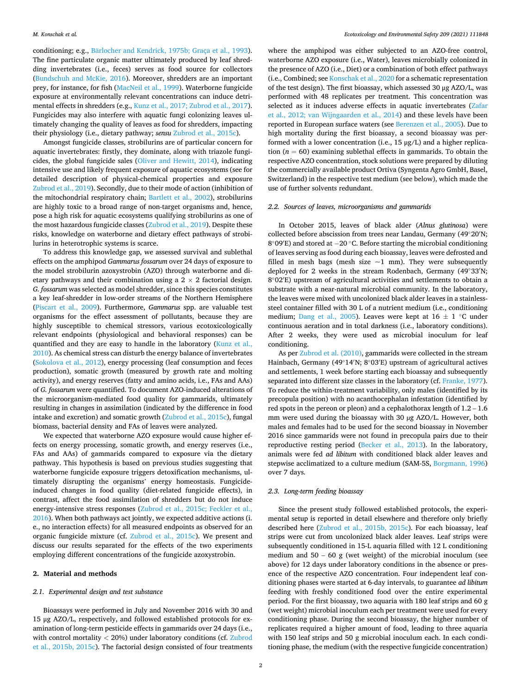conditioning; e.g., Bärlocher and Kendrick, 1975b; Graça et al., 1993). The fine particulate organic matter ultimately produced by leaf shredding invertebrates (i.e., feces) serves as food source for collectors ([Bundschuh and McKie, 2016\)](#page-7-0). Moreover, shredders are an important prey, for instance, for fish ([MacNeil et al., 1999\)](#page-8-0). Waterborne fungicide exposure at environmentally relevant concentrations can induce detrimental effects in shredders (e.g., [Kunz et al., 2017; Zubrod et al., 2017](#page-7-0)). Fungicides may also interfere with aquatic fungi colonizing leaves ultimately changing the quality of leaves as food for shredders, impacting their physiology (i.e., dietary pathway; *sensu* [Zubrod et al., 2015c](#page-8-0)).

Amongst fungicide classes, strobilurins are of particular concern for aquatic invertebrates: firstly, they dominate, along with triazole fungicides, the global fungicide sales [\(Oliver and Hewitt, 2014](#page-8-0)), indicating intensive use and likely frequent exposure of aquatic ecosystems (see for detailed description of physical-chemical properties and exposure [Zubrod et al., 2019\)](#page-8-0). Secondly, due to their mode of action (inhibition of the mitochondrial respiratory chain; [Bartlett et al., 2002](#page-7-0)), strobilurins are highly toxic to a broad range of non-target organisms and, hence, pose a high risk for aquatic ecosystems qualifying strobilurins as one of the most hazardous fungicide classes ([Zubrod et al., 2019\)](#page-8-0). Despite these risks, knowledge on waterborne and dietary effect pathways of strobilurins in heterotrophic systems is scarce.

To address this knowledge gap, we assessed survival and sublethal effects on the amphipod *Gammarus fossarum* over 24 days of exposure to the model strobilurin azoxystrobin (AZO) through waterborne and dietary pathways and their combination using a  $2 \times 2$  factorial design. *G. fossarum* was selected as model shredder, since this species constitutes a key leaf-shredder in low-order streams of the Northern Hemisphere ([Piscart et al., 2009\)](#page-8-0). Furthermore, *Gammarus* spp. are valuable test organisms for the effect assessment of pollutants, because they are highly susceptible to chemical stressors, various ecotoxicologically relevant endpoints (physiological and behavioral responses) can be quantified and they are easy to handle in the laboratory [\(Kunz et al.,](#page-7-0)  [2010\)](#page-7-0). As chemical stress can disturb the energy balance of invertebrates ([Sokolova et al., 2012\)](#page-8-0), energy processing (leaf consumption and feces production), somatic growth (measured by growth rate and molting activity), and energy reserves (fatty and amino acids, i.e., FAs and AAs) of *G. fossarum* were quantified. To document AZO-induced alterations of the microorganism-mediated food quality for gammarids, ultimately resulting in changes in assimilation (indicated by the difference in food intake and excretion) and somatic growth ([Zubrod et al., 2015c](#page-8-0)), fungal biomass, bacterial density and FAs of leaves were analyzed.

We expected that waterborne AZO exposure would cause higher effects on energy processing, somatic growth, and energy reserves (i.e., FAs and AAs) of gammarids compared to exposure via the dietary pathway. This hypothesis is based on previous studies suggesting that waterborne fungicide exposure triggers detoxification mechanisms, ultimately disrupting the organisms' energy homeostasis. Fungicideinduced changes in food quality (diet-related fungicide effects), in contrast, affect the food assimilation of shredders but do not induce energy-intensive stress responses ([Zubrod et al., 2015c; Feckler et al.,](#page-8-0)  [2016\)](#page-8-0). When both pathways act jointly, we expected additive actions (i. e., no interaction effects) for all measured endpoints as observed for an organic fungicide mixture (cf. [Zubrod et al., 2015c](#page-8-0)). We present and discuss our results separated for the effects of the two experiments employing different concentrations of the fungicide azoxystrobin.

# **2. Material and methods**

# *2.1. Experimental design and test substance*

Bioassays were performed in July and November 2016 with 30 and 15 μg AZO/L, respectively, and followed established protocols for examination of long-term pesticide effects in gammarids over 24 days (i.e., with control mortality *<* 20%) under laboratory conditions (cf. [Zubrod](#page-8-0)  [et al., 2015b, 2015c\)](#page-8-0). The factorial design consisted of four treatments

where the amphipod was either subjected to an AZO-free control, waterborne AZO exposure (i.e., Water), leaves microbially colonized in the presence of AZO (i.e., Diet) or a combination of both effect pathways (i.e., Combined; see [Konschak et al., 2020](#page-7-0) for a schematic representation of the test design). The first bioassay, which assessed 30 μg AZO/L, was performed with 48 replicates per treatment. This concentration was selected as it induces adverse effects in aquatic invertebrates [\(Zafar](#page-8-0)  [et al., 2012; van Wijngaarden et al., 2014](#page-8-0)) and these levels have been reported in European surface waters (see [Berenzen et al., 2005\)](#page-7-0). Due to high mortality during the first bioassay, a second bioassay was performed with a lower concentration (i.e., 15 μg/L) and a higher replication  $(n = 60)$  examining sublethal effects in gammarids. To obtain the respective AZO concentration, stock solutions were prepared by diluting the commercially available product Ortiva (Syngenta Agro GmbH, Basel, Switzerland) in the respective test medium (see below), which made the use of further solvents redundant.

# *2.2. Sources of leaves, microorganisms and gammarids*

In October 2015, leaves of black alder (*Alnus glutinosa*) were collected before abscission from trees near Landau, Germany (49◦20′ N; 8°09'E) and stored at −20 °C. Before starting the microbial conditioning of leaves serving as food during each bioassay, leaves were defrosted and filled in mesh bags (mesh size  $\sim$ 1 mm). They were subsequently deployed for 2 weeks in the stream Rodenbach, Germany (49◦33′ N; 8◦02′ E) upstream of agricultural activities and settlements to obtain a substrate with a near-natural microbial community. In the laboratory, the leaves were mixed with uncolonized black alder leaves in a stainlesssteel container filled with 30 L of a nutrient medium (i.e., conditioning medium; [Dang et al., 2005\)](#page-7-0). Leaves were kept at  $16 \pm 1$  °C under continuous aeration and in total darkness (i.e., laboratory conditions). After 2 weeks, they were used as microbial inoculum for leaf conditioning.

As per [Zubrod et al. \(2010\),](#page-8-0) gammarids were collected in the stream Hainbach, Germany (49◦14′ N; 8◦03′ E) upstream of agricultural actives and settlements, 1 week before starting each bioassay and subsequently separated into different size classes in the laboratory (cf. [Franke, 1977](#page-7-0)). To reduce the within-treatment variability, only males (identified by its precopula position) with no acanthocephalan infestation (identified by red spots in the pereon or pleon) and a cephalothorax length of 1.2 – 1.6 mm were used during the bioassay with 30 µg AZO/L. However, both males and females had to be used for the second bioassay in November 2016 since gammarids were not found in precopula pairs due to their reproductive resting period ([Becker et al., 2013\)](#page-7-0). In the laboratory, animals were fed *ad libitum* with conditioned black alder leaves and stepwise acclimatized to a culture medium (SAM-5S, [Borgmann, 1996\)](#page-7-0) over 7 days.

# *2.3. Long-term feeding bioassay*

Since the present study followed established protocols, the experimental setup is reported in detail elsewhere and therefore only briefly described here [\(Zubrod et al., 2015b, 2015c\)](#page-8-0). For each bioassay, leaf strips were cut from uncolonized black alder leaves. Leaf strips were subsequently conditioned in 15-L aquaria filled with 12 L conditioning medium and 50 – 60 g (wet weight) of the microbial inoculum (see above) for 12 days under laboratory conditions in the absence or presence of the respective AZO concentration. Four independent leaf conditioning phases were started at 6-day intervals, to guarantee *ad libitum*  feeding with freshly conditioned food over the entire experimental period. For the first bioassay, two aquaria with 180 leaf strips and 60 g (wet weight) microbial inoculum each per treatment were used for every conditioning phase. During the second bioassay, the higher number of replicates required a higher amount of food, leading to three aquaria with 150 leaf strips and 50 g microbial inoculum each. In each conditioning phase, the medium (with the respective fungicide concentration)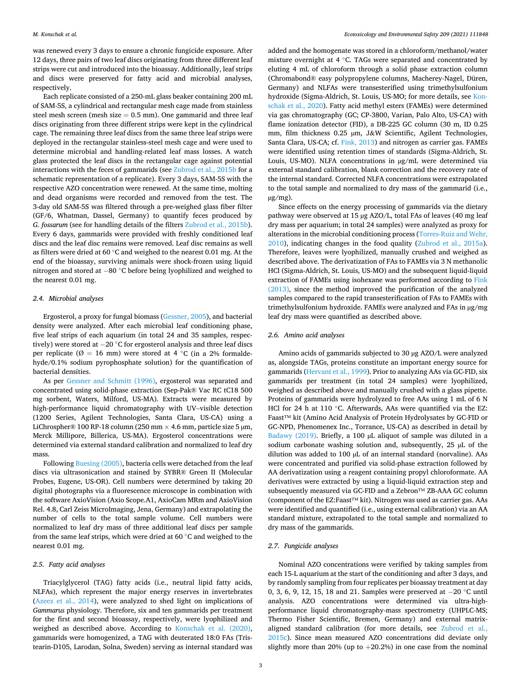was renewed every 3 days to ensure a chronic fungicide exposure. After 12 days, three pairs of two leaf discs originating from three different leaf strips were cut and introduced into the bioassay. Additionally, leaf strips and discs were preserved for fatty acid and microbial analyses, respectively.

Each replicate consisted of a 250-mL glass beaker containing 200 mL of SAM-5S, a cylindrical and rectangular mesh cage made from stainless steel mesh screen (mesh size  $= 0.5$  mm). One gammarid and three leaf discs originating from three different strips were kept in the cylindrical cage. The remaining three leaf discs from the same three leaf strips were deployed in the rectangular stainless-steel mesh cage and were used to determine microbial and handling-related leaf mass losses. A watch glass protected the leaf discs in the rectangular cage against potential interactions with the feces of gammarids (see [Zubrod et al., 2015b](#page-8-0) for a schematic representation of a replicate). Every 3 days, SAM-5S with the respective AZO concentration were renewed. At the same time, molting and dead organisms were recorded and removed from the test. The 3-day old SAM-5S was filtered through a pre-weighed glass fiber filter (GF/6, Whatman, Dassel, Germany) to quantify feces produced by *G. fossarum* (see for handling details of the filters [Zubrod et al., 2015b](#page-8-0)). Every 6 days, gammarids were provided with freshly conditioned leaf discs and the leaf disc remains were removed. Leaf disc remains as well as filters were dried at 60 ◦C and weighed to the nearest 0.01 mg. At the end of the bioassay, surviving animals were shock-frozen using liquid nitrogen and stored at − 80 ◦C before being lyophilized and weighed to the nearest 0.01 mg.

# *2.4. Microbial analyses*

Ergosterol, a proxy for fungal biomass ([Gessner, 2005\)](#page-7-0), and bacterial density were analyzed. After each microbial leaf conditioning phase, five leaf strips of each aquarium (in total 24 and 35 samples, respectively) were stored at −20 °C for ergosterol analysis and three leaf discs per replicate ( $\emptyset = 16$  mm) were stored at 4 °C (in a 2% formaldehyde/0.1% sodium pyrophosphate solution) for the quantification of bacterial densities.

As per [Gessner and Schmitt \(1996\),](#page-7-0) ergosterol was separated and concentrated using solid-phase extraction (Sep-Pak® Vac RC tC18 500 mg sorbent, Waters, Milford, US-MA). Extracts were measured by high-performance liquid chromatography with UV–visible detection (1200 Series, Agilent Technologies, Santa Clara, US-CA) using a LiChrospher® 100 RP-18 column (250 mm  $\times$  4.6 mm, particle size 5 µm, Merck Millipore, Billerica, US-MA). Ergosterol concentrations were determined via external standard calibration and normalized to leaf dry mass.

Following [Buesing \(2005\),](#page-7-0) bacteria cells were detached from the leaf discs via ultrasonication and stained by SYBR® Green II (Molecular Probes, Eugene, US-OR). Cell numbers were determined by taking 20 digital photographs via a fluorescence microscope in combination with the software AxioVision (Axio Scope.A1, AxioCam MRm and AxioVision Rel. 4.8, Carl Zeiss MicroImaging, Jena, Germany) and extrapolating the number of cells to the total sample volume. Cell numbers were normalized to leaf dry mass of three additional leaf discs per sample from the same leaf strips, which were dried at 60 ◦C and weighed to the nearest 0.01 mg.

# *2.5. Fatty acid analyses*

Triacylglycerol (TAG) fatty acids (i.e., neutral lipid fatty acids, NLFAs), which represent the major energy reserves in invertebrates ([Azeez et al., 2014](#page-7-0)), were analyzed to shed light on implications of *Gammarus* physiology. Therefore, six and ten gammarids per treatment for the first and second bioassay, respectively, were lyophilized and weighed as described above. According to [Konschak et al. \(2020\)](#page-7-0), gammarids were homogenized, a TAG with deuterated 18:0 FAs (Tristearin-D105, Larodan, Solna, Sweden) serving as internal standard was added and the homogenate was stored in a chloroform/methanol/water mixture overnight at 4 ◦C. TAGs were separated and concentrated by eluting 4 mL of chloroform through a solid phase extraction column (Chromabond® easy polypropylene columns, Macherey-Nagel, Düren, Germany) and NLFAs were transesterified using trimethylsulfonium hydroxide (Sigma-Aldrich, St. Louis, US-MO; for more details, see [Kon](#page-7-0)[schak et al., 2020](#page-7-0)). Fatty acid methyl esters (FAMEs) were determined via gas chromatography (GC; CP-3800, Varian, Palo Alto, US-CA) with flame ionization detector (FID), a DB-225 GC column (30 m, ID 0.25 mm, film thickness 0.25 µm, J&W Scientific, Agilent Technologies, Santa Clara, US-CA; cf. [Fink, 2013](#page-7-0)) and nitrogen as carrier gas. FAMEs were identified using retention times of standards (Sigma-Aldrich, St. Louis, US-MO). NLFA concentrations in µg/mL were determined via external standard calibration, blank correction and the recovery rate of the internal standard. Corrected NLFA concentrations were extrapolated to the total sample and normalized to dry mass of the gammarid (i.e., µg/mg).

Since effects on the energy processing of gammarids via the dietary pathway were observed at 15 µg AZO/L, total FAs of leaves (40 mg leaf dry mass per aquarium; in total 24 samples) were analyzed as proxy for alterations in the microbial conditioning process [\(Torres-Ruiz and Wehr,](#page-8-0)  [2010\)](#page-8-0), indicating changes in the food quality ([Zubrod et al., 2015a](#page-8-0)). Therefore, leaves were lyophilized, manually crushed and weighed as described above. The derivatization of FAs to FAMEs via 3 N methanolic HCl (Sigma-Aldrich, St. Louis, US-MO) and the subsequent liquid-liquid extraction of FAMEs using isohexane was performed according to [Fink](#page-7-0)  [\(2013\),](#page-7-0) since the method improved the purification of the analyzed samples compared to the rapid transesterification of FAs to FAMEs with trimethylsulfonium hydroxide. FAMEs were analyzed and FAs in µg/mg leaf dry mass were quantified as described above.

# *2.6. Amino acid analyses*

Amino acids of gammarids subjected to 30 µg AZO/L were analyzed as, alongside TAGs, proteins constitute an important energy source for gammarids [\(Hervant et al., 1999\)](#page-7-0). Prior to analyzing AAs via GC-FID, six gammarids per treatment (in total 24 samples) were lyophilized, weighed as described above and manually crushed with a glass pipette. Proteins of gammarids were hydrolyzed to free AAs using 1 mL of 6 N HCl for 24 h at 110 ℃. Afterwards, AAs were quantified via the EZ: Faast™ kit (Amino Acid Analysis of Protein Hydrolysates by GC-FID or GC-NPD, Phenomenex Inc., Torrance, US-CA) as described in detail by [Badawy \(2019\).](#page-7-0) Briefly, a 100 µL aliquot of sample was diluted in a sodium carbonate washing solution and, subsequently, 25 µL of the dilution was added to 100 µL of an internal standard (norvaline). AAs were concentrated and purified via solid-phase extraction followed by AA derivatization using a reagent containing propyl chloroformate. AA derivatives were extracted by using a liquid-liquid extraction step and subsequently measured via GC-FID and a Zebron™ ZB-AAA GC column (component of the EZ:Faast™ kit). Nitrogen was used as carrier gas. AAs were identified and quantified (i.e., using external calibration) via an AA standard mixture, extrapolated to the total sample and normalized to dry mass of the gammarids.

# *2.7. Fungicide analyses*

Nominal AZO concentrations were verified by taking samples from each 15-L aquarium at the start of the conditioning and after 3 days, and by randomly sampling from four replicates per bioassay treatment at day 0, 3, 6, 9, 12, 15, 18 and 21. Samples were preserved at −20 °C until analysis. AZO concentrations were determined via ultra-highperformance liquid chromatography-mass spectrometry (UHPLC-MS; Thermo Fisher Scientific, Bremen, Germany) and external matrixaligned standard calibration (for more details, see [Zubrod et al.,](#page-8-0)  [2015c](#page-8-0)). Since mean measured AZO concentrations did deviate only slightly more than 20% (up to  $+20.2%$ ) in one case from the nominal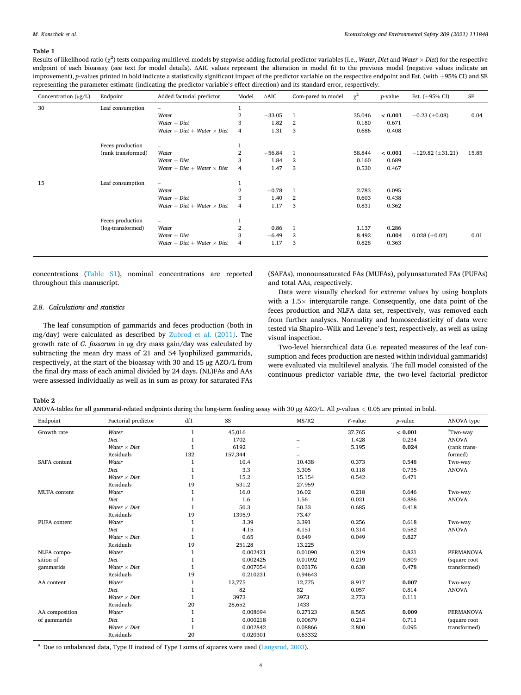# <span id="page-3-0"></span>**Table 1**

Results of likelihood ratio (χ<sup>2</sup> ) tests comparing multilevel models by stepwise adding factorial predictor variables (i.e., *Water*, *Diet* and *Water* × *Diet*) for the respective endpoint of each bioassay (see text for model details). ∆AIC values represent the alteration in model fit to the previous model (negative values indicate an improvement), *p*-values printed in bold indicate a statistically significant impact of the predictor variable on the respective endpoint and Est. (with  $\pm$ 95% CI) and SE representing the parameter estimate (indicating the predictor variable's effect direction) and its standard error, respectively.

| Concentration $(\mu g/L)$ | Endpoint           | Added factorial predictor          | Model          | $\triangle AIC$ | Com-pared to model | $\chi^2$ | <i>p</i> -value | Est. $(\pm 95\% \text{ CI})$ | SE    |
|---------------------------|--------------------|------------------------------------|----------------|-----------------|--------------------|----------|-----------------|------------------------------|-------|
| 30                        | Leaf consumption   |                                    |                |                 |                    |          |                 |                              |       |
|                           |                    | Water                              | 2              | $-33.05$        | 1                  | 35.046   | < 0.001         | $-0.23$ ( $\pm 0.08$ )       | 0.04  |
|                           |                    | $Water + Diet$                     | 3              | 1.82            | $\overline{2}$     | 0.180    | 0.671           |                              |       |
|                           |                    | $Water + Diet + Water \times Diet$ | 4              | 1.31            | 3                  | 0.686    | 0.408           |                              |       |
|                           | Feces production   |                                    |                |                 |                    |          |                 |                              |       |
|                           | (rank transformed) | Water                              | 2              | $-56.84$        | 1                  | 58.844   | < 0.001         | $-129.82 \ (\pm 31.21)$      | 15.85 |
|                           |                    | $Water + Diet$                     | 3              | 1.84            | $\overline{2}$     | 0.160    | 0.689           |                              |       |
|                           |                    | $Water + Diet + Water \times Diet$ | $\overline{4}$ | 1.47            | 3                  | 0.530    | 0.467           |                              |       |
| 15                        | Leaf consumption   | $\overline{\phantom{0}}$           | Ŧ              |                 |                    |          |                 |                              |       |
|                           |                    | Water                              | $\overline{2}$ | $-0.78$         | 1                  | 2.783    | 0.095           |                              |       |
|                           |                    | $Water + Diet$                     | 3              | 1.40            | $\overline{2}$     | 0.603    | 0.438           |                              |       |
|                           |                    | $Water + Diet + Water \times Diet$ | $\overline{4}$ | 1.17            | 3                  | 0.831    | 0.362           |                              |       |
|                           | Feces production   |                                    |                |                 |                    |          |                 |                              |       |
|                           | (log-transformed)  | Water                              | 2              | 0.86            | 1                  | 1.137    | 0.286           |                              |       |
|                           |                    | $Water + Diet$                     | 3              | $-6.49$         | $\overline{2}$     | 8.492    | 0.004           | $0.028 \ (\pm 0.02)$         | 0.01  |
|                           |                    | Water + Diet + Water $\times$ Diet | $\overline{4}$ | 1.17            | 3                  | 0.828    | 0.363           |                              |       |

concentrations (Table S1), nominal concentrations are reported throughout this manuscript.

# *2.8. Calculations and statistics*

The leaf consumption of gammarids and feces production (both in mg/day) were calculated as described by [Zubrod et al. \(2011\)](#page-8-0). The growth rate of *G. fossarum* in µg dry mass gain/day was calculated by subtracting the mean dry mass of 21 and 54 lyophilized gammarids, respectively, at the start of the bioassay with 30 and 15 µg AZO/L from the final dry mass of each animal divided by 24 days. (NL)FAs and AAs were assessed individually as well as in sum as proxy for saturated FAs

(SAFAs), monounsaturated FAs (MUFAs), polyunsaturated FAs (PUFAs) and total AAs, respectively.

Data were visually checked for extreme values by using boxplots with a  $1.5\times$  interquartile range. Consequently, one data point of the feces production and NLFA data set, respectively, was removed each from further analyses. Normality and homoscedasticity of data were tested via Shapiro–Wilk and Levene's test, respectively, as well as using visual inspection.

Two-level hierarchical data (i.e. repeated measures of the leaf consumption and feces production are nested within individual gammarids) were evaluated via multilevel analysis. The full model consisted of the continuous predictor variable *time*, the two-level factorial predictor

# **Table 2**

| ANOVA-tables for all gammarid-related endpoints during the long-term feeding assay with 30 µg AZO/L. All p-values < 0.05 are printed in bold. |  |  |  |
|-----------------------------------------------------------------------------------------------------------------------------------------------|--|--|--|
|-----------------------------------------------------------------------------------------------------------------------------------------------|--|--|--|

| Endpoint            | Factorial predictor | df1          | SS       | MS/R2                    | $F$ -value | <i>p</i> -value | ANOVA type           |
|---------------------|---------------------|--------------|----------|--------------------------|------------|-----------------|----------------------|
| Growth rate         | Water               | $\mathbf{1}$ | 45,016   | $\overline{\phantom{0}}$ | 37.765     | < 0.001         | <sup>a</sup> Two-way |
|                     | Diet                | $\mathbf{1}$ | 1702     |                          | 1.428      | 0.234           | <b>ANOVA</b>         |
|                     | Water $\times$ Diet | $\mathbf{1}$ | 6192     |                          | 5.195      | 0.024           | (rank trans-         |
|                     | Residuals           | 132          | 157,344  |                          |            |                 | formed)              |
| <b>SAFA</b> content | Water               | $\mathbf{1}$ | 10.4     | 10.438                   | 0.373      | 0.548           | Two-way              |
|                     | Diet                | $\mathbf{1}$ | 3.3      | 3.305                    | 0.118      | 0.735           | <b>ANOVA</b>         |
|                     | Water $\times$ Diet | $\mathbf{1}$ | 15.2     | 15.154                   | 0.542      | 0.471           |                      |
|                     | Residuals           | 19           | 531.2    | 27.959                   |            |                 |                      |
| <b>MUFA</b> content | Water               | $\mathbf{1}$ | 16.0     | 16.02                    | 0.218      | 0.646           | Two-way              |
|                     | Diet                | $\mathbf{1}$ | 1.6      | 1.56                     | 0.021      | 0.886           | <b>ANOVA</b>         |
|                     | Water $\times$ Diet | $\mathbf{1}$ | 50.3     | 50.33                    | 0.685      | 0.418           |                      |
|                     | Residuals           | 19           | 1395.9   | 73.47                    |            |                 |                      |
| PUFA content        | Water               | $\mathbf{1}$ | 3.39     | 3.391                    | 0.256      | 0.618           | Two-way              |
|                     | Diet                | $\mathbf{1}$ | 4.15     | 4.151                    | 0.314      | 0.582           | <b>ANOVA</b>         |
|                     | Water $\times$ Diet | $\mathbf{1}$ | 0.65     | 0.649                    | 0.049      | 0.827           |                      |
|                     | Residuals           | 19           | 251.28   | 13.225                   |            |                 |                      |
| NLFA compo-         | Water               | $\mathbf{1}$ | 0.002421 | 0.01090                  | 0.219      | 0.821           | <b>PERMANOVA</b>     |
| sition of           | Diet                | $\mathbf{1}$ | 0.002425 | 0.01092                  | 0.219      | 0.809           | (square root         |
| gammarids           | Water $\times$ Diet | $\mathbf{1}$ | 0.007054 | 0.03176                  | 0.638      | 0.478           | transformed)         |
|                     | Residuals           | 19           | 0.210231 | 0.94643                  |            |                 |                      |
| AA content          | Water               | $\mathbf{1}$ | 12,775   | 12,775                   | 8.917      | 0.007           | Two-way              |
|                     | Diet                | $\mathbf{1}$ | 82       | 82                       | 0.057      | 0.814           | <b>ANOVA</b>         |
|                     | Water $\times$ Diet | $\mathbf{1}$ | 3973     | 3973                     | 2.773      | 0.111           |                      |
|                     | Residuals           | 20           | 28,652   | 1433                     |            |                 |                      |
| AA composition      | Water               | 1            | 0.008694 | 0.27123                  | 8.565      | 0.009           | <b>PERMANOVA</b>     |
| of gammarids        | Diet                | $\mathbf{1}$ | 0.000218 | 0.00679                  | 0.214      | 0.711           | (square root)        |
|                     | Water $\times$ Diet | $\mathbf{1}$ | 0.002842 | 0.08866                  | 2.800      | 0.095           | transformed)         |
|                     | Residuals           | 20           | 0.020301 | 0.63332                  |            |                 |                      |

<sup>a</sup> Due to unbalanced data, Type II instead of Type I sums of squares were used ([Langsrud, 2003](#page-7-0)).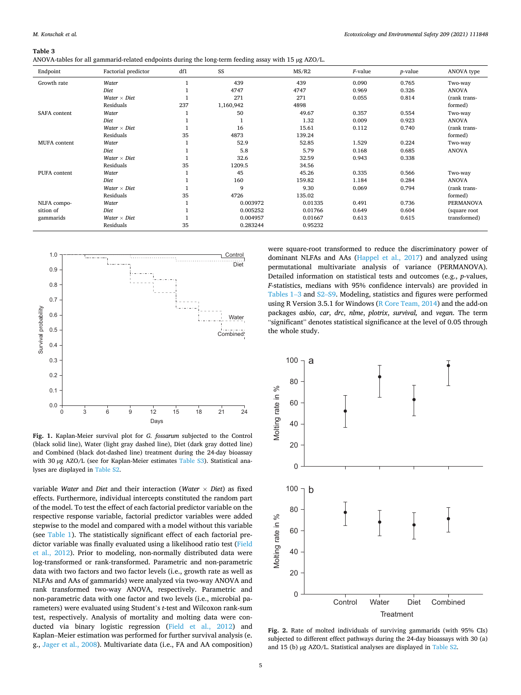*Ecotoxicology and Environmental Safety 209 (2021) 111848*

# <span id="page-4-0"></span>**Table 3**

ANOVA-tables for all gammarid-related endpoints during the long-term feeding assay with 15 µg AZO/L.

| Endpoint     | Factorial predictor | df1 | SS          | MS/R2   | $F$ -value | <i>p</i> -value | ANOVA type       |
|--------------|---------------------|-----|-------------|---------|------------|-----------------|------------------|
| Growth rate  | Water               |     | 439         | 439     | 0.090      | 0.765           | Two-way          |
|              | Diet                |     | 4747        | 4747    | 0.969      | 0.326           | <b>ANOVA</b>     |
|              | Water $\times$ Diet |     | 271         | 271     | 0.055      | 0.814           | (rank trans-     |
|              | Residuals           | 237 | 1,160,942   | 4898    |            |                 | formed)          |
| SAFA content | Water               |     | 50          | 49.67   | 0.357      | 0.554           | Two-way          |
|              | Diet                |     |             | 1.32    | 0.009      | 0.923           | <b>ANOVA</b>     |
|              | Water $\times$ Diet |     | 16          | 15.61   | 0.112      | 0.740           | (rank trans-     |
|              | Residuals           | 35  | 4873        | 139.24  |            |                 | formed)          |
| MUFA content | Water               |     | 52.9        | 52.85   | 1.529      | 0.224           | Two-way          |
|              | Diet                |     | 5.8         | 5.79    | 0.168      | 0.685           | <b>ANOVA</b>     |
|              | Water $\times$ Diet |     | 32.6        | 32.59   | 0.943      | 0.338           |                  |
|              | Residuals           | 35  | 1209.5      | 34.56   |            |                 |                  |
| PUFA content | Water               |     | 45          | 45.26   | 0.335      | 0.566           | Two-way          |
|              | Diet                |     | 160         | 159.82  | 1.184      | 0.284           | <b>ANOVA</b>     |
|              | Water $\times$ Diet |     | $\mathbf Q$ | 9.30    | 0.069      | 0.794           | (rank trans-     |
|              | Residuals           | 35  | 4726        | 135.02  |            |                 | formed)          |
| NLFA compo-  | Water               |     | 0.003972    | 0.01335 | 0.491      | 0.736           | <b>PERMANOVA</b> |
| sition of    | Diet                |     | 0.005252    | 0.01766 | 0.649      | 0.604           | (square root)    |
| gammarids    | Water $\times$ Diet |     | 0.004957    | 0.01667 | 0.613      | 0.615           | transformed)     |
|              | Residuals           | 35  | 0.283244    | 0.95232 |            |                 |                  |



**Fig. 1.** Kaplan-Meier survival plot for *G. fossarum* subjected to the Control (black solid line), Water (light gray dashed line), Diet (dark gray dotted line) and Combined (black dot-dashed line) treatment during the 24-day bioassay with 30 µg AZO/L (see for Kaplan-Meier estimates Table S3). Statistical anawith 30 pg AZO/L (see for Kapian-wieler estimates Table 35). Statistical ana-<br>lyses are displayed in Table S2.

variable *Water* and *Diet* and their interaction (*Water* × *Diet*) as fixed effects. Furthermore, individual intercepts constituted the random part of the model. To test the effect of each factorial predictor variable on the respective response variable, factorial predictor variables were added stepwise to the model and compared with a model without this variable (see [Table 1\)](#page-3-0). The statistically significant effect of each factorial predictor variable was finally evaluated using a likelihood ratio test [\(Field](#page-7-0)  [et al., 2012](#page-7-0)). Prior to modeling, non-normally distributed data were log-transformed or rank-transformed. Parametric and non-parametric data with two factors and two factor levels (i.e., growth rate as well as NLFAs and AAs of gammarids) were analyzed via two-way ANOVA and rank transformed two-way ANOVA, respectively. Parametric and non-parametric data with one factor and two levels (i.e., microbial parameters) were evaluated using Student's *t*-test and Wilcoxon rank-sum test, respectively. Analysis of mortality and molting data were conducted via binary logistic regression ([Field et al., 2012\)](#page-7-0) and Kaplan–Meier estimation was performed for further survival analysis (e. g., [Jager et al., 2008](#page-7-0)). Multivariate data (i.e., FA and AA composition)

were square-root transformed to reduce the discriminatory power of dominant NLFAs and AAs [\(Happel et al., 2017](#page-7-0)) and analyzed using permutational multivariate analysis of variance (PERMANOVA). Detailed information on statistical tests and outcomes (e.g., *p*-values, *F*-statistics, medians with 95% confidence intervals) are provided in [Tables 1](#page-3-0)–3 and S2–S9. Modeling, statistics and figures were performed using R Version 3.5.1 for Windows ([R Core Team, 2014](#page-8-0)) and the add-on packages *asbio*, *car*, *drc*, *nlme*, *plotrix*, *survival,* and *vegan*. The term "significant" denotes statistical significance at the level of 0.05 through the whole study.



**Fig. 2.** Rate of molted individuals of surviving gammarids (with 95% CIs) subjected to different effect pathways during the 24-day bioassays with 30 (a) and 15 (b) µg AZO/L. Statistical analyses are displayed in Table S2.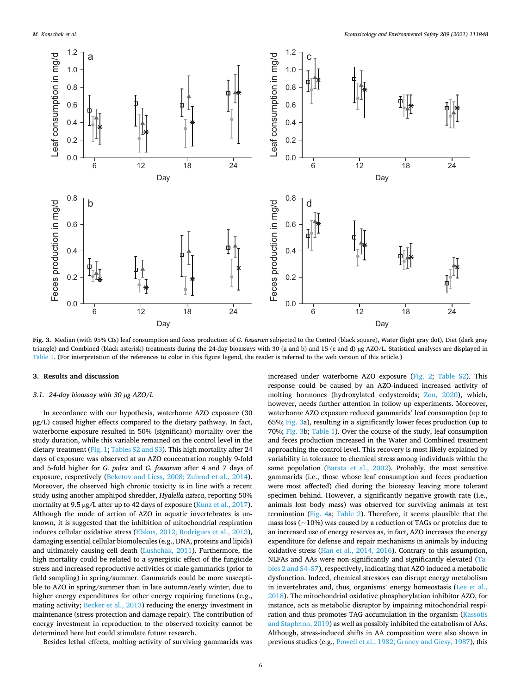<span id="page-5-0"></span>

**Fig. 3.** Median (with 95% CIs) leaf consumption and feces production of *G. fossarum* subjected to the Control (black square), Water (light gray dot), Diet (dark gray triangle) and Combined (black asterisk) treatments during the 24-day bioassays with 30 (a and b) and 15 (c and d) µg AZO/L. Statistical analyses are displayed in [Table 1.](#page-3-0) (For interpretation of the references to color in this figure legend, the reader is referred to the web version of this article.)

# **3. Results and discussion**

# *3.1. 24-day bioassay with 30 µg AZO/L*

In accordance with our hypothesis, waterborne AZO exposure (30 µg/L) caused higher effects compared to the dietary pathway. In fact, waterborne exposure resulted in 50% (significant) mortality over the study duration, while this variable remained on the control level in the dietary treatment ([Fig. 1](#page-4-0); Tables S2 and S3). This high mortality after 24 days of exposure was observed at an AZO concentration roughly 9-fold and 5-fold higher for *G. pulex* and *G. fossarum* after 4 and 7 days of exposure, respectively [\(Beketov and Liess, 2008; Zubrod et al., 2014](#page-7-0)). Moreover, the observed high chronic toxicity is in line with a recent study using another amphipod shredder, *Hyalella azteca*, reporting 50% mortality at 9.5 µg/L after up to 42 days of exposure [\(Kunz et al., 2017](#page-7-0)). Although the mode of action of AZO in aquatic invertebrates is unknown, it is suggested that the inhibition of mitochondrial respiration induces cellular oxidative stress ([Elskus, 2012; Rodrigues et al., 2013](#page-7-0)), damaging essential cellular biomolecules (e.g., DNA, proteins and lipids) and ultimately causing cell death [\(Lushchak, 2011\)](#page-8-0). Furthermore, the high mortality could be related to a synergistic effect of the fungicide stress and increased reproductive activities of male gammarids (prior to field sampling) in spring/summer. Gammarids could be more susceptible to AZO in spring/summer than in late autumn/early winter, due to higher energy expenditures for other energy requiring functions (e.g., mating activity; [Becker et al., 2013](#page-7-0)) reducing the energy investment in maintenance (stress protection and damage repair). The contribution of energy investment in reproduction to the observed toxicity cannot be determined here but could stimulate future research.

Besides lethal effects, molting activity of surviving gammarids was

increased under waterborne AZO exposure [\(Fig. 2](#page-4-0); Table S2). This response could be caused by an AZO-induced increased activity of molting hormones (hydroxylated ecdysteroids; [Zou, 2020\)](#page-8-0), which, however, needs further attention in follow up experiments. Moreover, waterborne AZO exposure reduced gammarids' leaf consumption (up to 65%; Fig. 3a), resulting in a significantly lower feces production (up to 70%; Fig. 3b; [Table 1](#page-3-0)). Over the course of the study, leaf consumption and feces production increased in the Water and Combined treatment approaching the control level. This recovery is most likely explained by variability in tolerance to chemical stress among individuals within the same population ([Barata et al., 2002\)](#page-7-0). Probably, the most sensitive gammarids (i.e., those whose leaf consumption and feces production were most affected) died during the bioassay leaving more tolerant specimen behind. However, a significantly negative growth rate (i.e., animals lost body mass) was observed for surviving animals at test termination ([Fig. 4](#page-6-0)a; [Table 2\)](#page-3-0). Therefore, it seems plausible that the mass loss ( $\sim$ 10%) was caused by a reduction of TAGs or proteins due to an increased use of energy reserves as, in fact, AZO increases the energy expenditure for defense and repair mechanisms in animals by inducing oxidative stress ([Han et al., 2014, 2016](#page-7-0)). Contrary to this assumption, NLFAs and AAs were non-significantly and significantly elevated [\(Ta](#page-3-0)[bles 2 and](#page-3-0) S4–S7), respectively, indicating that AZO induced a metabolic dysfunction. Indeed, chemical stressors can disrupt energy metabolism in invertebrates and, thus, organisms' energy homeostasis ([Lee et al.,](#page-8-0)  [2018\)](#page-8-0). The mitochondrial oxidative phosphorylation inhibitor AZO, for instance, acts as metabolic disruptor by impairing mitochondrial respiration and thus promotes TAG accumulation in the organism ([Kassotis](#page-7-0)  [and Stapleton, 2019\)](#page-7-0) as well as possibly inhibited the catabolism of AAs. Although, stress-induced shifts in AA composition were also shown in previous studies (e.g., [Powell et al., 1982; Graney and Giesy, 1987\)](#page-8-0), this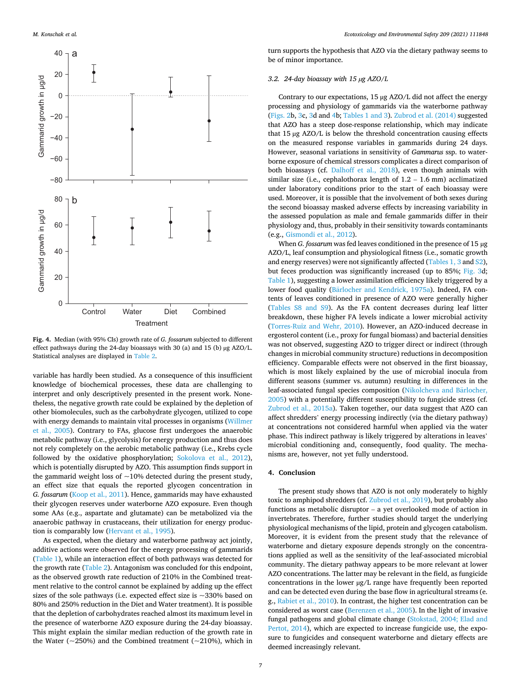<span id="page-6-0"></span>

**Fig. 4.** Median (with 95% CIs) growth rate of *G. fossarum* subjected to different effect pathways during the 24-day bioassays with 30 (a) and 15 (b) µg AZO/L. Statistical analyses are displayed in [Table 2.](#page-3-0)

variable has hardly been studied. As a consequence of this insufficient knowledge of biochemical processes, these data are challenging to interpret and only descriptively presented in the present work. Nonetheless, the negative growth rate could be explained by the depletion of other biomolecules, such as the carbohydrate glycogen, utilized to cope with energy demands to maintain vital processes in organisms [\(Willmer](#page-8-0)  [et al., 2005](#page-8-0)). Contrary to FAs, glucose first undergoes the anaerobic metabolic pathway (i.e., glycolysis) for energy production and thus does not rely completely on the aerobic metabolic pathway (i.e., Krebs cycle followed by the oxidative phosphorylation; [Sokolova et al., 2012](#page-8-0)), which is potentially disrupted by AZO. This assumption finds support in the gammarid weight loss of  $\sim$ 10% detected during the present study, an effect size that equals the reported glycogen concentration in *G. fossarum* ([Koop et al., 2011](#page-7-0)). Hence, gammarids may have exhausted their glycogen reserves under waterborne AZO exposure. Even though some AAs (e.g., aspartate and glutamate) can be metabolized via the anaerobic pathway in crustaceans, their utilization for energy production is comparably low [\(Hervant et al., 1995](#page-7-0)).

As expected, when the dietary and waterborne pathway act jointly, additive actions were observed for the energy processing of gammarids ([Table 1\)](#page-3-0), while an interaction effect of both pathways was detected for the growth rate ([Table 2\)](#page-3-0). Antagonism was concluded for this endpoint, as the observed growth rate reduction of 210% in the Combined treatment relative to the control cannot be explained by adding up the effect sizes of the sole pathways (i.e. expected effect size is  $\sim$ 330% based on 80% and 250% reduction in the Diet and Water treatment). It is possible that the depletion of carbohydrates reached almost its maximum level in the presence of waterborne AZO exposure during the 24-day bioassay. This might explain the similar median reduction of the growth rate in the Water ( $\sim$ 250%) and the Combined treatment ( $\sim$ 210%), which in

turn supports the hypothesis that AZO via the dietary pathway seems to be of minor importance.

# *3.2. 24-day bioassay with 15 µg AZO/L*

Contrary to our expectations, 15 µg AZO/L did not affect the energy processing and physiology of gammarids via the waterborne pathway ([Figs. 2](#page-4-0)b, [3c](#page-5-0), [3d](#page-5-0) and 4b; [Tables 1 and 3](#page-3-0)). [Zubrod et al. \(2014\)](#page-8-0) suggested that AZO has a steep dose-response relationship, which may indicate that 15 µg AZO/L is below the threshold concentration causing effects on the measured response variables in gammarids during 24 days. However, seasonal variations in sensitivity of *Gammarus* ssp. to waterborne exposure of chemical stressors complicates a direct comparison of both bioassays (cf. [Dalhoff et al., 2018](#page-7-0)), even though animals with similar size (i.e., cephalothorax length of 1.2 – 1.6 mm) acclimatized under laboratory conditions prior to the start of each bioassay were used. Moreover, it is possible that the involvement of both sexes during the second bioassay masked adverse effects by increasing variability in the assessed population as male and female gammarids differ in their physiology and, thus, probably in their sensitivity towards contaminants (e.g., [Gismondi et al., 2012](#page-7-0)).

When *G. fossarum* was fed leaves conditioned in the presence of 15 µg AZO/L, leaf consumption and physiological fitness (i.e., somatic growth and energy reserves) were not significantly affected ([Tables 1, 3](#page-3-0) and S2), but feces production was significantly increased (up to 85%; [Fig. 3d](#page-5-0); [Table 1\)](#page-3-0), suggesting a lower assimilation efficiency likely triggered by a lower food quality (Bärlocher [and Kendrick, 1975a\)](#page-7-0). Indeed, FA contents of leaves conditioned in presence of AZO were generally higher (Tables S8 and S9). As the FA content decreases during leaf litter breakdown, these higher FA levels indicate a lower microbial activity ([Torres-Ruiz and Wehr, 2010\)](#page-8-0). However, an AZO-induced decrease in ergosterol content (i.e., proxy for fungal biomass) and bacterial densities was not observed, suggesting AZO to trigger direct or indirect (through changes in microbial community structure) reductions in decomposition efficiency. Comparable effects were not observed in the first bioassay, which is most likely explained by the use of microbial inocula from different seasons (summer vs. autumn) resulting in differences in the leaf-associated fungal species composition (Nikolcheva and Bärlocher, [2005\)](#page-8-0) with a potentially different susceptibility to fungicide stress (cf. [Zubrod et al., 2015a](#page-8-0)). Taken together, our data suggest that AZO can affect shredders' energy processing indirectly (via the dietary pathway) at concentrations not considered harmful when applied via the water phase. This indirect pathway is likely triggered by alterations in leaves' microbial conditioning and, consequently, food quality. The mechanisms are, however, not yet fully understood.

# **4. Conclusion**

The present study shows that AZO is not only moderately to highly toxic to amphipod shredders (cf. [Zubrod et al., 2019](#page-8-0)), but probably also functions as metabolic disruptor – a yet overlooked mode of action in invertebrates. Therefore, further studies should target the underlying physiological mechanisms of the lipid, protein and glycogen catabolism. Moreover, it is evident from the present study that the relevance of waterborne and dietary exposure depends strongly on the concentrations applied as well as the sensitivity of the leaf-associated microbial community. The dietary pathway appears to be more relevant at lower AZO concentrations. The latter may be relevant in the field, as fungicide concentrations in the lower µg/L range have frequently been reported and can be detected even during the base flow in agricultural streams (e. g., [Rabiet et al., 2010\)](#page-8-0). In contrast, the higher test concentration can be considered as worst case ([Berenzen et al., 2005\)](#page-7-0). In the light of invasive fungal pathogens and global climate change ([Stokstad, 2004; Elad and](#page-8-0)  [Pertot, 2014\)](#page-8-0), which are expected to increase fungicide use, the exposure to fungicides and consequent waterborne and dietary effects are deemed increasingly relevant.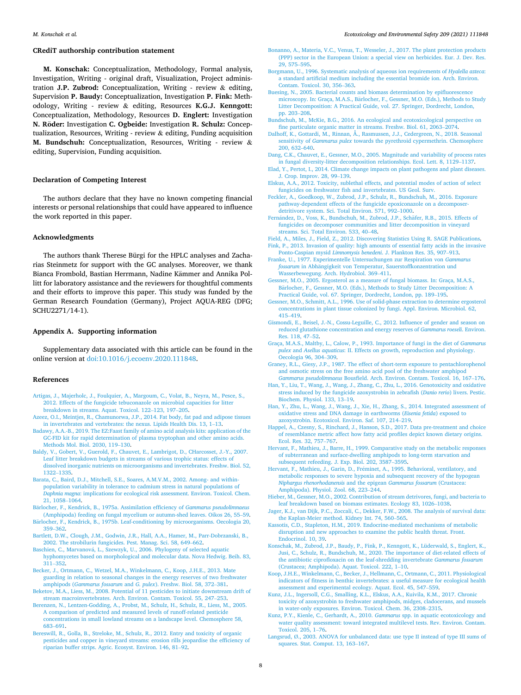# <span id="page-7-0"></span>**CRediT authorship contribution statement**

**M. Konschak:** Conceptualization, Methodology, Formal analysis, Investigation, Writing - original draft, Visualization, Project administration **J.P. Zubrod:** Conceptualization, Writing - review & editing, Supervision **P. Baudy:** Conceptualization, Investigation **P. Fink:** Methodology, Writing - review & editing, Resources **K.G.J. Kenngott:**  Conceptualization, Methodology, Resources **D. Englert:** Investigation **N. Röder: Investigation C. Ogbeide: Investigation R. Schulz: Concep**tualization, Resources, Writing - review & editing, Funding acquisition **M. Bundschuh:** Conceptualization, Resources, Writing - review & editing, Supervision, Funding acquisition.

# **Declaration of Competing Interest**

The authors declare that they have no known competing financial interests or personal relationships that could have appeared to influence the work reported in this paper.

# **Acknowledgments**

The authors thank Therese Bürgi for the HPLC analyses and Zacharias Steinmetz for support with the GC analyses. Moreover, we thank Bianca Frombold, Bastian Herrmann, Nadine Kämmer and Annika Pollitt for laboratory assistance and the reviewers for thoughtful comments and their efforts to improve this paper. This study was funded by the German Research Foundation (Germany), Project AQUA-REG (DFG; SCHU2271/14-1).

# **Appendix A. Supporting information**

Supplementary data associated with this article can be found in the online version at [doi:10.1016/j.ecoenv.2020.111848](https://doi.org/10.1016/j.ecoenv.2020.111848).

# **References**

- [Artigas, J., Majerholc, J., Foulquier, A., Margoum, C., Volat, B., Neyra, M., Pesce, S.,](http://refhub.elsevier.com/S0147-6513(20)31684-5/sbref1)  [2012. Effects of the fungicide tebuconazole on microbial capacities for litter](http://refhub.elsevier.com/S0147-6513(20)31684-5/sbref1) [breakdown in streams. Aquat. Toxicol. 122](http://refhub.elsevier.com/S0147-6513(20)31684-5/sbref1)–123, 197–205.
- [Azeez, O.I., Meintjes, R., Chamunorwa, J.P., 2014. Fat body, fat pad and adipose tissues](http://refhub.elsevier.com/S0147-6513(20)31684-5/sbref2)  [in invertebrates and vertebrates: the nexus. Lipids Health Dis. 13, 1](http://refhub.elsevier.com/S0147-6513(20)31684-5/sbref2)–13.
- [Badawy, A.A.-B., 2019. The EZ:Faast family of amino acid analysis kits: application of the](http://refhub.elsevier.com/S0147-6513(20)31684-5/sbref3)  [GC-FID kit for rapid determination of plasma tryptophan and other amino acids.](http://refhub.elsevier.com/S0147-6513(20)31684-5/sbref3)  [Methods Mol. Biol. 2030, 119](http://refhub.elsevier.com/S0147-6513(20)31684-5/sbref3)–130.
- [Baldy, V., Gobert, V., Guerold, F., Chauvet, E., Lambrigot, D., CHarcosset, J.-Y., 2007.](http://refhub.elsevier.com/S0147-6513(20)31684-5/sbref4)  [Leaf litter breakdown budgets in streams of various trophic status: effects of](http://refhub.elsevier.com/S0147-6513(20)31684-5/sbref4) [dissolved inorganic nutrients on microorganisms and invertebrates. Freshw. Biol. 52,](http://refhub.elsevier.com/S0147-6513(20)31684-5/sbref4)  [1322](http://refhub.elsevier.com/S0147-6513(20)31684-5/sbref4)–1335.
- [Barata, C., Baird, D.J., Mitchell, S.E., Soares, A.M.V.M., 2002. Among- and within](http://refhub.elsevier.com/S0147-6513(20)31684-5/sbref5)[population variability in tolerance to cadmium stress in natural populations of](http://refhub.elsevier.com/S0147-6513(20)31684-5/sbref5)  *Daphnia magna*[: implications for ecological risk assessment. Environ. Toxicol. Chem.](http://refhub.elsevier.com/S0147-6513(20)31684-5/sbref5)  [21, 1058](http://refhub.elsevier.com/S0147-6513(20)31684-5/sbref5)–1064.
- Bärlocher, [F., Kendrick, B., 1975a. Assimilation efficiency of](http://refhub.elsevier.com/S0147-6513(20)31684-5/sbref6) *Gammarus pseudolimnaeus* [\(Amphipoda\) feeding on fungal mycelium or autumn-shed leaves. Oikos 26, 55](http://refhub.elsevier.com/S0147-6513(20)31684-5/sbref6)–59. Bärlocher, F., Kendrick, B., 1975b. Leaf-conditioning by microorganisms. Oecologia 20, 359–[362](http://refhub.elsevier.com/S0147-6513(20)31684-5/sbref7).
- [Bartlett, D.W., Clough, J.M., Godwin, J.R., Hall, A.A., Hamer, M., Parr-Dobrzanski, B.,](http://refhub.elsevier.com/S0147-6513(20)31684-5/sbref8) [2002. The strobilurin fungicides. Pest. Manag. Sci. 58, 649](http://refhub.elsevier.com/S0147-6513(20)31684-5/sbref8)–662.
- Baschien, C., Marvanová, [L., Szewzyk, U., 2006. Phylogeny of selected aquatic](http://refhub.elsevier.com/S0147-6513(20)31684-5/sbref9) [hyphomycetes based on morphological and molecular data. Nova Hedwig. Beih. 83,](http://refhub.elsevier.com/S0147-6513(20)31684-5/sbref9)  311–[352](http://refhub.elsevier.com/S0147-6513(20)31684-5/sbref9).
- [Becker, J., Ortmann, C., Wetzel, M.A., Winkelmann, C., Koop, J.H.E., 2013. Mate](http://refhub.elsevier.com/S0147-6513(20)31684-5/sbref10)  [guarding in relation to seasonal changes in the energy reserves of two freshwater](http://refhub.elsevier.com/S0147-6513(20)31684-5/sbref10) amphipods (*Gammarus fossarum* and *G. pulex*[\). Freshw. Biol. 58, 372](http://refhub.elsevier.com/S0147-6513(20)31684-5/sbref10)–381.
- Beketov, M.A., Liess, M., 2008. Potential of 11 pesticides to initiate downstream drift of [stream macroinvertebrates. Arch. Environ. Contam. Toxicol. 55, 247](http://refhub.elsevier.com/S0147-6513(20)31684-5/sbref11)–253. [Berenzen, N., Lentzen-Godding, A., Probst, M., Schulz, H., Schulz, R., Liess, M., 2005.](http://refhub.elsevier.com/S0147-6513(20)31684-5/sbref12)
- [A comparison of predicted and measured levels of runoff-related pesticide](http://refhub.elsevier.com/S0147-6513(20)31684-5/sbref12)  [concentrations in small lowland streams on a landscape level. Chemosphere 58,](http://refhub.elsevier.com/S0147-6513(20)31684-5/sbref12) 683–[691](http://refhub.elsevier.com/S0147-6513(20)31684-5/sbref12).
- [Bereswill, R., Golla, B., Streloke, M., Schulz, R., 2012. Entry and toxicity of organic](http://refhub.elsevier.com/S0147-6513(20)31684-5/sbref13) [pesticides and copper in vineyard streams: erosion rills jeopardise the efficiency of](http://refhub.elsevier.com/S0147-6513(20)31684-5/sbref13)  [riparian buffer strips. Agric. Ecosyst. Environ. 146, 81](http://refhub.elsevier.com/S0147-6513(20)31684-5/sbref13)–92.
- [Bonanno, A., Materia, V.C., Venus, T., Wesseler, J., 2017. The plant protection products](http://refhub.elsevier.com/S0147-6513(20)31684-5/sbref14)  [\(PPP\) sector in the European Union: a special view on herbicides. Eur. J. Dev. Res.](http://refhub.elsevier.com/S0147-6513(20)31684-5/sbref14)  [29, 575](http://refhub.elsevier.com/S0147-6513(20)31684-5/sbref14)–595.
- [Borgmann, U., 1996. Systematic analysis of aqueous ion requirements of](http://refhub.elsevier.com/S0147-6513(20)31684-5/sbref15) *Hyalella azteca*: [a standard artificial medium including the essential bromide ion. Arch. Environ.](http://refhub.elsevier.com/S0147-6513(20)31684-5/sbref15)  [Contam. Toxicol. 30, 356](http://refhub.elsevier.com/S0147-6513(20)31684-5/sbref15)–363.
- Buesing, N., 2005. Bacterial counts and biomass determination by epifluorescence microscopy. In: Graça, M.A.S., Bärlocher, F., Gessner, M.O. (Eds.), Methods to Study [Litter Decomposition: A Practical Guide, vol. 27. Springer, Dordrecht, London,](http://refhub.elsevier.com/S0147-6513(20)31684-5/sbref16)  [pp. 203](http://refhub.elsevier.com/S0147-6513(20)31684-5/sbref16)–208.
- [Bundschuh, M., McKie, B.G., 2016. An ecological and ecotoxicological perspective on](http://refhub.elsevier.com/S0147-6513(20)31684-5/sbref17) [fine particulate organic matter in streams. Freshw. Biol. 61, 2063](http://refhub.elsevier.com/S0147-6513(20)31684-5/sbref17)-207
- [Dalhoff, K., Gottardi, M., Rinnan, Å., Rasmussen, J.J., Cedergreen, N., 2018. Seasonal](http://refhub.elsevier.com/S0147-6513(20)31684-5/sbref18) sensitivity of *Gammarus pulex* [towards the pyrethroid cypermethrin. Chemosphere](http://refhub.elsevier.com/S0147-6513(20)31684-5/sbref18) [200, 632](http://refhub.elsevier.com/S0147-6513(20)31684-5/sbref18)–640.
- [Dang, C.K., Chauvet, E., Gessner, M.O., 2005. Magnitude and variability of process rates](http://refhub.elsevier.com/S0147-6513(20)31684-5/sbref19)  [in fungal diversity-litter decomposition relationships. Ecol. Lett. 8, 1129](http://refhub.elsevier.com/S0147-6513(20)31684-5/sbref19)–1137.
- [Elad, Y., Pertot, I., 2014. Climate change impacts on plant pathogens and plant diseases.](http://refhub.elsevier.com/S0147-6513(20)31684-5/sbref20)  [J. Crop. Improv. 28, 99](http://refhub.elsevier.com/S0147-6513(20)31684-5/sbref20)–139.
- [Elskus, A.A., 2012. Toxicity, sublethal effects, and potential modes of action of select](http://refhub.elsevier.com/S0147-6513(20)31684-5/sbref21) [fungicides on freshwater fish and invertebrates. US Geol. Surv.](http://refhub.elsevier.com/S0147-6513(20)31684-5/sbref21)
- [Feckler, A., Goedkoop, W., Zubrod, J.P., Schulz, R., Bundschuh, M., 2016. Exposure](http://refhub.elsevier.com/S0147-6513(20)31684-5/sbref22) [pathway-dependent effects of the fungicide epoxiconazole on a decomposer](http://refhub.elsevier.com/S0147-6513(20)31684-5/sbref22)[detritivore system. Sci. Total Environ. 571, 992](http://refhub.elsevier.com/S0147-6513(20)31684-5/sbref22)-1000.
- Fernández, D., Voss, K., Bundschuh, M., Zubrod, J.P., Schäfer, R.B., 2015. Effects of [fungicides on decomposer communities and litter decomposition in vineyard](http://refhub.elsevier.com/S0147-6513(20)31684-5/sbref23) [streams. Sci. Total Environ. 533, 40](http://refhub.elsevier.com/S0147-6513(20)31684-5/sbref23)–48.
- [Field, A., Miles, J., Field, Z., 2012. Discovering Statistics Using R. SAGE Publications.](http://refhub.elsevier.com/S0147-6513(20)31684-5/sbref24) [Fink, P., 2013. Invasion of quality: high amounts of essential fatty acids in the invasive](http://refhub.elsevier.com/S0147-6513(20)31684-5/sbref25)
- Ponto-Caspian mysid *Limnomysis benedeni*[. J. Plankton Res. 35, 907](http://refhub.elsevier.com/S0147-6513(20)31684-5/sbref25)–913. [Franke, U., 1977. Experimentelle Untersuchungen zur Respiration von](http://refhub.elsevier.com/S0147-6513(20)31684-5/sbref26) *Gammarus fossarum* in Abhängigkeit [von Temperatur, Sauerstoffkonzentration und](http://refhub.elsevier.com/S0147-6513(20)31684-5/sbref26) [Wasserbewegung. Arch. Hydrobiol. 369](http://refhub.elsevier.com/S0147-6513(20)31684-5/sbref26)–411.
- [Gessner, M.O., 2005. Ergosterol as a measure of fungal biomass. In: Graça, M.A.S.,](http://refhub.elsevier.com/S0147-6513(20)31684-5/sbref27)  Bärlocher, F., Gessner, M.O. (Eds.), Methods to Study Litter Decomposition: A [Practical Guide, vol. 67. Springer, Dordrecht, London, pp. 189](http://refhub.elsevier.com/S0147-6513(20)31684-5/sbref27)–195.
- [Gessner, M.O., Schmitt, A.L., 1996. Use of solid-phase extraction to determine ergosterol](http://refhub.elsevier.com/S0147-6513(20)31684-5/sbref28)  [concentrations in plant tissue colonized by fungi. Appl. Environ. Microbiol. 62,](http://refhub.elsevier.com/S0147-6513(20)31684-5/sbref28)  415–[419](http://refhub.elsevier.com/S0147-6513(20)31684-5/sbref28).
- [Gismondi, E., Beisel, J.-N., Cossu-Leguille, C., 2012. Influence of gender and season on](http://refhub.elsevier.com/S0147-6513(20)31684-5/sbref29)  [reduced glutathione concentration and energy reserves of](http://refhub.elsevier.com/S0147-6513(20)31684-5/sbref29) *Gammarus roeseli*. Environ. [Res. 118, 47](http://refhub.elsevier.com/S0147-6513(20)31684-5/sbref29)–52.
- [Graça, M.A.S., Maltby, L., Calow, P., 1993. Importance of fungi in the diet of](http://refhub.elsevier.com/S0147-6513(20)31684-5/sbref30) *Gammarus pulex* and *Asellus aquaticus*[: II. Effects on growth, reproduction and physiology.](http://refhub.elsevier.com/S0147-6513(20)31684-5/sbref30) [Oecologia 96, 304](http://refhub.elsevier.com/S0147-6513(20)31684-5/sbref30)–309.
- [Graney, R.L., Giesy, J.P., 1987. The effect of short-term exposure to pentachlorophenol](http://refhub.elsevier.com/S0147-6513(20)31684-5/sbref31) [and osmotic stress on the free amino acid pool of the freshwater amphipod](http://refhub.elsevier.com/S0147-6513(20)31684-5/sbref31) *Gammarus pseudolimnaeus* [Bousfield. Arch. Environ. Contam. Toxicol. 16, 167](http://refhub.elsevier.com/S0147-6513(20)31684-5/sbref31)–176.
- [Han, Y., Liu, T., Wang, J., Wang, J., Zhang, C., Zhu, L., 2016. Genotoxicity and oxidative](http://refhub.elsevier.com/S0147-6513(20)31684-5/sbref32)  [stress induced by the fungicide azoxystrobin in zebrafish \(](http://refhub.elsevier.com/S0147-6513(20)31684-5/sbref32)*Danio rerio*) livers. Pestic. [Biochem. Physiol. 133, 13](http://refhub.elsevier.com/S0147-6513(20)31684-5/sbref32)–19.
- [Han, Y., Zhu, L., Wang, J., Wang, J., Xie, H., Zhang, S., 2014. Integrated assessment of](http://refhub.elsevier.com/S0147-6513(20)31684-5/sbref33) [oxidative stress and DNA damage in earthworms \(](http://refhub.elsevier.com/S0147-6513(20)31684-5/sbref33)*Eisenia fetida*) exposed to [azoxystrobin. Ecotoxicol. Environ. Saf. 107, 214](http://refhub.elsevier.com/S0147-6513(20)31684-5/sbref33)–219.
- [Happel, A., Czesny, S., Rinchard, J., Hanson, S.D., 2017. Data pre-treatment and choice](http://refhub.elsevier.com/S0147-6513(20)31684-5/sbref34)  [of resemblance metric affect how fatty acid profiles depict known dietary origins.](http://refhub.elsevier.com/S0147-6513(20)31684-5/sbref34)  [Ecol. Res. 32, 757](http://refhub.elsevier.com/S0147-6513(20)31684-5/sbref34)–767.
- [Hervant, F., Mathieu, J., Barre, H., 1999. Comparative study on the metabolic responses](http://refhub.elsevier.com/S0147-6513(20)31684-5/sbref35)  [of subterranean and surface-dwelling amphipods to long-term starvation and](http://refhub.elsevier.com/S0147-6513(20)31684-5/sbref35)  [subsequent refeeding. J. Exp. Biol. 202, 3587](http://refhub.elsevier.com/S0147-6513(20)31684-5/sbref35)–3595.
- Hervant, F., Mathieu, J., Garin, D., Fréminet, A., 1995. Behavioral, ventilatory, and [metabolic responses to severe hypoxia and subsequent recovery of the hypogean](http://refhub.elsevier.com/S0147-6513(20)31684-5/sbref36)  *[Niphargus rhenorhodanensis](http://refhub.elsevier.com/S0147-6513(20)31684-5/sbref36)* and the epigean *Gammarus fossarum* (Crustacea: [Amphipoda\). Physiol. Zool. 68, 223](http://refhub.elsevier.com/S0147-6513(20)31684-5/sbref36)–244.
- [Hieber, M., Gessner, M.O., 2002. Contribution of stream detrivores, fungi, and bacteria to](http://refhub.elsevier.com/S0147-6513(20)31684-5/sbref37)  [leaf breakdown based on biomass estimates. Ecology 83, 1026](http://refhub.elsevier.com/S0147-6513(20)31684-5/sbref37)–1038.
- [Jager, K.J., van Dijk, P.C., Zoccali, C., Dekker, F.W., 2008. The analysis of survival data:](http://refhub.elsevier.com/S0147-6513(20)31684-5/sbref38)  [the Kaplan-Meier method. Kidney Int. 74, 560](http://refhub.elsevier.com/S0147-6513(20)31684-5/sbref38)–565.
- [Kassotis, C.D., Stapleton, H.M., 2019. Endocrine-mediated mechanisms of metabolic](http://refhub.elsevier.com/S0147-6513(20)31684-5/sbref39) [disruption and new approaches to examine the public health threat. Front.](http://refhub.elsevier.com/S0147-6513(20)31684-5/sbref39) [Endocrinol. 10, 39.](http://refhub.elsevier.com/S0147-6513(20)31684-5/sbref39)
- [Konschak, M., Zubrod, J.P., Baudy, P., Fink, P., Kenngott, K., Lüderwald, S., Englert, K.,](http://refhub.elsevier.com/S0147-6513(20)31684-5/sbref40)  [Jusi, C., Schulz, R., Bundschuh, M., 2020. The importance of diet-related effects of](http://refhub.elsevier.com/S0147-6513(20)31684-5/sbref40) [the antibiotic ciprofloxacin on the leaf-shredding invertebrate](http://refhub.elsevier.com/S0147-6513(20)31684-5/sbref40) *Gammarus fossarum*  [\(Crustacea; Amphipoda\). Aquat. Toxicol. 222, 1](http://refhub.elsevier.com/S0147-6513(20)31684-5/sbref40)–10.
- [Koop, J.H.E., Winkelmann, C., Becker, J., Hellmann, C., Ortmann, C., 2011. Physiological](http://refhub.elsevier.com/S0147-6513(20)31684-5/sbref41)  [indicators of fitness in benthic invertebrates: a useful measure for ecological health](http://refhub.elsevier.com/S0147-6513(20)31684-5/sbref41)  [assessment and experimental ecology. Aquat. Ecol. 45, 547](http://refhub.elsevier.com/S0147-6513(20)31684-5/sbref41)–559.
- [Kunz, J.L., Ingersoll, C.G., Smalling, K.L., Elskus, A.A., Kuivila, K.M., 2017. Chronic](http://refhub.elsevier.com/S0147-6513(20)31684-5/sbref42)  [toxicity of azoxystrobin to freshwater amphipods, midges, cladocerans, and mussels](http://refhub.elsevier.com/S0147-6513(20)31684-5/sbref42)  [in water-only exposures. Environ. Toxicol. Chem. 36, 2308](http://refhub.elsevier.com/S0147-6513(20)31684-5/sbref42)–2315.
- [Kunz, P.Y., Kienle, C., Gerhardt, A., 2010.](http://refhub.elsevier.com/S0147-6513(20)31684-5/sbref43) *Gammarus* spp. in aquatic ecotoxicology and [water quality assessment: toward integrated multilevel tests. Rev. Environ. Contam.](http://refhub.elsevier.com/S0147-6513(20)31684-5/sbref43)  [Toxicol. 205, 1](http://refhub.elsevier.com/S0147-6513(20)31684-5/sbref43)–76.
- Langsrud, Ø[., 2003. ANOVA for unbalanced data: use type II instead of type III sums of](http://refhub.elsevier.com/S0147-6513(20)31684-5/sbref44)  [squares. Stat. Comput. 13, 163](http://refhub.elsevier.com/S0147-6513(20)31684-5/sbref44)–167.